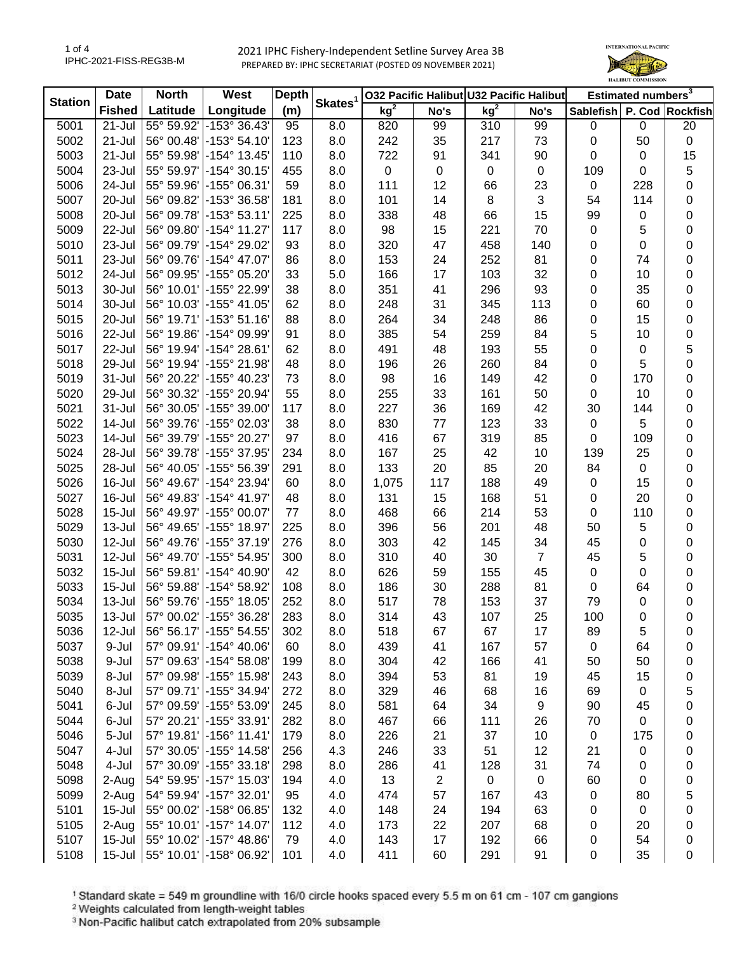2021 IPHC Fishery-Independent Setline Survey Area 3B PREPARED BY: IPHC SECRETARIAT (POSTED 09 NOVEMBER 2021)



| <b>Station</b> | <b>Date</b>   | <b>North</b> | West                          | <b>Depth</b> | Skates <sup>1</sup> | 032 Pacific Halibut U32 Pacific Halibut |      |                 |                | Estimated numbers <sup>3</sup> |           |           |
|----------------|---------------|--------------|-------------------------------|--------------|---------------------|-----------------------------------------|------|-----------------|----------------|--------------------------------|-----------|-----------|
|                | <b>Fished</b> | Latitude     | Longitude                     | (m)          |                     | kg <sup>2</sup>                         | No's | kg <sup>2</sup> | No's           | Sablefish P. Cod Rockfish      |           |           |
| 5001           | 21-Jul        | 55° 59.92'   | $-153^{\circ}36.43'$          | 95           | 8.0                 | 820                                     | 99   | 310             | 99             | 0                              | 0         | 20        |
| 5002           | 21-Jul        | 56° 00.48'   | $ -153^{\circ} 54.10^{\circ}$ | 123          | 8.0                 | 242                                     | 35   | 217             | 73             | 0                              | 50        | $\pmb{0}$ |
| 5003           | 21-Jul        | 55° 59.98'   | $-154^{\circ}$ 13.45'         | 110          | 8.0                 | 722                                     | 91   | 341             | 90             | 0                              | 0         | 15        |
| 5004           | 23-Jul        | 55° 59.97'   | $-154^{\circ}$ 30.15          | 455          | 8.0                 | $\pmb{0}$                               | 0    | $\pmb{0}$       | $\mathbf 0$    | 109                            | 0         | 5         |
| 5006           | 24-Jul        | 55° 59.96'   | -155° 06.31'                  | 59           | 8.0                 | 111                                     | 12   | 66              | 23             | $\pmb{0}$                      | 228       | 0         |
| 5007           | 20-Jul        | 56° 09.82'   | -153° 36.58'                  | 181          | 8.0                 | 101                                     | 14   | 8               | $\sqrt{3}$     | 54                             | 114       | 0         |
| 5008           | 20-Jul        | 56° 09.78'   | $-153°53.11'$                 | 225          | 8.0                 | 338                                     | 48   | 66              | 15             | 99                             | 0         | 0         |
| 5009           | 22-Jul        | 56° 09.80'   | $-154^{\circ}$ 11.27          | 117          | 8.0                 | 98                                      | 15   | 221             | 70             | 0                              | 5         | 0         |
| 5010           | 23-Jul        | 56° 09.79'   | -154° 29.02'                  | 93           | 8.0                 | 320                                     | 47   | 458             | 140            | 0                              | 0         | 0         |
| 5011           | 23-Jul        | 56° 09.76'   | -154° 47.07'                  | 86           | 8.0                 | 153                                     | 24   | 252             | 81             | 0                              | 74        | 0         |
| 5012           | 24-Jul        | 56° 09.95'   | -155° 05.20'                  | 33           | 5.0                 | 166                                     | 17   | 103             | 32             | 0                              | 10        | 0         |
| 5013           | 30-Jul        | 56° 10.01'   | -155° 22.99'                  | 38           | 8.0                 | 351                                     | 41   | 296             | 93             | 0                              | 35        | 0         |
| 5014           | 30-Jul        | 56° 10.03'   | $-155^{\circ}$ 41.05          | 62           | 8.0                 | 248                                     | 31   | 345             | 113            | 0                              | 60        | 0         |
| 5015           | 20-Jul        | 56° 19.71'   | $-153°51.16'$                 | 88           | 8.0                 | 264                                     | 34   | 248             | 86             | 0                              | 15        | 0         |
| 5016           | 22-Jul        | 56° 19.86'   | -154° 09.99'                  | 91           | 8.0                 | 385                                     | 54   | 259             | 84             | 5                              | 10        | 0         |
| 5017           | 22-Jul        | 56° 19.94'   | $-154^{\circ} 28.61$          | 62           | 8.0                 | 491                                     | 48   | 193             | 55             | 0                              | 0         | 5         |
| 5018           | 29-Jul        | 56° 19.94'   | -155° 21.98'                  | 48           | 8.0                 | 196                                     | 26   | 260             | 84             | 0                              | 5         | 0         |
| 5019           | 31-Jul        | 56° 20.22'   | -155° 40.23'                  | 73           | 8.0                 | 98                                      | 16   | 149             | 42             | 0                              | 170       | 0         |
| 5020           | 29-Jul        | 56° 30.32'   | -155° 20.94'                  | 55           | 8.0                 | 255                                     | 33   | 161             | 50             | 0                              | 10        | 0         |
| 5021           | 31-Jul        | 56° 30.05'   | -155° 39.00'                  | 117          | 8.0                 | 227                                     | 36   | 169             | 42             | 30                             | 144       | 0         |
| 5022           | 14-Jul        | 56° 39.76'   | -155° 02.03'                  | 38           | 8.0                 | 830                                     | 77   | 123             | 33             | $\pmb{0}$                      | 5         | 0         |
| 5023           | 14-Jul        | 56° 39.79'   | -155° 20.27'                  | 97           | 8.0                 | 416                                     | 67   | 319             | 85             | 0                              | 109       | 0         |
| 5024           | 28-Jul        | 56° 39.78'   | -155° 37.95'                  | 234          | 8.0                 | 167                                     | 25   | 42              | 10             | 139                            | 25        | 0         |
| 5025           | 28-Jul        | 56° 40.05'   | -155° 56.39'                  | 291          | 8.0                 | 133                                     | 20   | 85              | 20             | 84                             | $\pmb{0}$ | 0         |
| 5026           | 16-Jul        | 56° 49.67'   | -154° 23.94'                  | 60           | 8.0                 | 1,075                                   | 117  | 188             | 49             | 0                              | 15        | 0         |
| 5027           | 16-Jul        | 56° 49.83'   | -154° 41.97'                  | 48           | 8.0                 | 131                                     | 15   | 168             | 51             | 0                              | 20        | 0         |
| 5028           | $15 -$ Jul    | 56° 49.97'   | $-155^{\circ}$ 00.07'         | 77           | 8.0                 | 468                                     | 66   | 214             | 53             | 0                              | 110       | 0         |
| 5029           | 13-Jul        | 56° 49.65'   | -155° 18.97'                  | 225          | 8.0                 | 396                                     | 56   | 201             | 48             | 50                             | 5         | 0         |
| 5030           | 12-Jul        | 56° 49.76'   | -155° 37.19'                  | 276          | 8.0                 | 303                                     | 42   | 145             | 34             | 45                             | 0         | 0         |
| 5031           | 12-Jul        | 56° 49.70'   | -155° 54.95'                  | 300          | 8.0                 | 310                                     | 40   | 30              | $\overline{7}$ | 45                             | 5         | 0         |
| 5032           | $15 -$ Jul    | 56° 59.81'   | $-154^{\circ}$ 40.90          | 42           | 8.0                 | 626                                     | 59   | 155             | 45             | 0                              | 0         | 0         |
| 5033           | $15 -$ Jul    | 56° 59.88'   | -154° 58.92                   | 108          | 8.0                 | 186                                     | 30   | 288             | 81             | 0                              | 64        | 0         |
| 5034           | 13-Jul        | 56° 59.76'   | -155° 18.05'                  | 252          | 8.0                 | 517                                     | 78   | 153             | 37             | 79                             | 0         | 0         |
| 5035           | 13-Jul        | 57° 00.02'   | -155° 36.28                   | 283          | 8.0                 | 314                                     | 43   | 107             | 25             | 100                            | 0         | 0         |
| 5036           | 12-Jul        |              | 56° 56.17' - 155° 54.55'      | 302          | 8.0                 | 518                                     | 67   | 67              | 17             | 89                             | 5         | 0         |
| 5037           | 9-Jul         |              | 57° 09.91' -154° 40.06'       | 60           | 8.0                 | 439                                     | 41   | 167             | 57             | 0                              | 64        | 0         |
| 5038           | 9-Jul         | 57° 09.63'   | $\,$ -154° 58.08'             | 199          | 8.0                 | 304                                     | 42   | 166             | 41             | 50                             | 50        | 0         |
| 5039           | 8-Jul         | 57° 09.98'   | -155° 15.98'                  | 243          | 8.0                 | 394                                     | 53   | 81              | 19             | 45                             | 15        | 0         |
| 5040           | 8-Jul         | 57° 09.71'   | -155° 34.94'                  | 272          | 8.0                 | 329                                     | 46   | 68              | 16             | 69                             | 0         | 5         |
| 5041           | 6-Jul         | 57° 09.59'   | -155° 53.09'                  | 245          | 8.0                 | 581                                     | 64   | 34              | 9              | 90                             | 45        | 0         |
| 5044           | 6-Jul         | 57° 20.21'   | -155° 33.91'                  | 282          | 8.0                 | 467                                     | 66   | 111             | 26             | 70                             | 0         | 0         |
| 5046           | 5-Jul         | 57° 19.81'   | -156° 11.41'                  | 179          | 8.0                 | 226                                     | 21   | 37              | 10             | $\pmb{0}$                      | 175       | 0         |
| 5047           | 4-Jul         | 57° 30.05'   | -155° 14.58'                  | 256          | 4.3                 | 246                                     | 33   | 51              | 12             | 21                             | 0         | 0         |
| 5048           | 4-Jul         | 57° 30.09'   | -155° 33.18'                  | 298          | 8.0                 | 286                                     | 41   | 128             | 31             | 74                             | 0         | 0         |
| 5098           | 2-Aug         | 54° 59.95'   | -157° 15.03'                  | 194          | 4.0                 | 13                                      | 2    | $\pmb{0}$       | $\pmb{0}$      | 60                             | 0         | 0         |
| 5099           | 2-Aug         | 54° 59.94'   | -157° 32.01'                  | 95           | 4.0                 | 474                                     | 57   | 167             | 43             | 0                              | 80        | 5         |
| 5101           | $15 -$ Jul    | 55° 00.02'   | -158° 06.85                   | 132          | 4.0                 | 148                                     | 24   | 194             | 63             | 0                              | 0         | 0         |
| 5105           | 2-Aug         |              | 55° 10.01' - 157° 14.07'      | 112          | 4.0                 | 173                                     | 22   | 207             | 68             | 0                              | 20        | 0         |
| 5107           | $15 -$ Jul    |              | 55° 10.02' - 157° 48.86'      | 79           | 4.0                 | 143                                     | 17   | 192             | 66             | 0                              | 54        | 0         |
| 5108           | $15 -$ Jul    |              | 55° 10.01' - 158° 06.92'      | 101          | 4.0                 | 411                                     | 60   | 291             | 91             | 0                              | 35        | 0         |

<sup>1</sup> Standard skate = 549 m groundline with 16/0 circle hooks spaced every 5.5 m on 61 cm - 107 cm gangions <sup>2</sup> Weights calculated from length-weight tables

<sup>3</sup> Non-Pacific halibut catch extrapolated from 20% subsample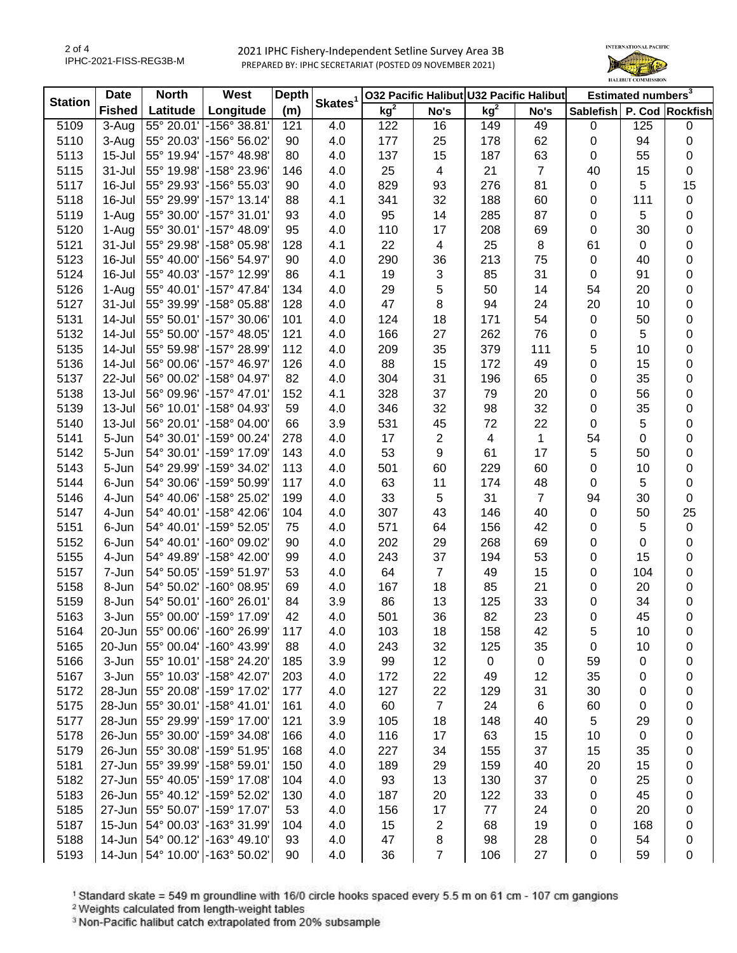2 of 4 IPHC-2021-FISS-REG3B-M

 2021 IPHC Fishery-Independent Setline Survey Area 3B PREPARED BY: IPHC SECRETARIAT (POSTED 09 NOVEMBER 2021)



| <b>Station</b> | <b>Date</b>   | <b>North</b> | West                               | <b>Depth</b> |                     |                 |                | 032 Pacific Halibut U32 Pacific Halibut |                | Estimated numbers <sup>3</sup> |             |                  |
|----------------|---------------|--------------|------------------------------------|--------------|---------------------|-----------------|----------------|-----------------------------------------|----------------|--------------------------------|-------------|------------------|
|                | <b>Fished</b> | Latitude     | Longitude                          | (m)          | Skates <sup>1</sup> | kg <sup>2</sup> | No's           | kg <sup>2</sup>                         | No's           | Sablefish P. Cod Rockfish      |             |                  |
| 5109           | $3-Aug$       | 55° 20.01'   | -156° 38.81'                       | 121          | 4.0                 | 122             | 16             | 149                                     | 49             | 0                              | 125         | $\mathbf 0$      |
| 5110           | 3-Aug         | 55° 20.03'   | $-156^{\circ} 56.02^{\circ}$       | 90           | 4.0                 | 177             | 25             | 178                                     | 62             | 0                              | 94          | $\pmb{0}$        |
| 5113           | $15 -$ Jul    | 55° 19.94'   | $-157^{\circ}$ 48.98               | 80           | 4.0                 | 137             | 15             | 187                                     | 63             | 0                              | 55          | $\pmb{0}$        |
| 5115           | 31-Jul        | 55° 19.98'   | -158° 23.96'                       | 146          | 4.0                 | 25              | 4              | 21                                      | $\overline{7}$ | 40                             | 15          | $\boldsymbol{0}$ |
| 5117           | 16-Jul        | 55° 29.93'   | -156° 55.03'                       | 90           | 4.0                 | 829             | 93             | 276                                     | 81             | 0                              | 5           | 15               |
| 5118           | 16-Jul        | 55° 29.99'   | -157° 13.14'                       | 88           | 4.1                 | 341             | 32             | 188                                     | 60             | 0                              | 111         | $\pmb{0}$        |
| 5119           | 1-Aug         | 55° 30.00'   | -157° 31.01'                       | 93           | 4.0                 | 95              | 14             | 285                                     | 87             | 0                              | 5           | 0                |
| 5120           | 1-Aug         | 55° 30.01'   | -157° 48.09'                       | 95           | 4.0                 | 110             | 17             | 208                                     | 69             | 0                              | 30          | $\pmb{0}$        |
| 5121           | 31-Jul        | 55° 29.98'   | $-158°05.98'$                      | 128          | 4.1                 | 22              | 4              | 25                                      | 8              | 61                             | 0           | $\pmb{0}$        |
| 5123           | 16-Jul        | 55° 40.00'   | -156° 54.97′                       | 90           | 4.0                 | 290             | 36             | 213                                     | 75             | 0                              | 40          | $\pmb{0}$        |
| 5124           | 16-Jul        | 55° 40.03'   | -157° 12.99′                       | 86           | 4.1                 | 19              | 3              | 85                                      | 31             | 0                              | 91          | $\pmb{0}$        |
| 5126           | 1-Aug         | 55° 40.01'   | -157° 47.84'                       | 134          | 4.0                 | 29              | 5              | 50                                      | 14             | 54                             | 20          | $\pmb{0}$        |
| 5127           | 31-Jul        | 55° 39.99'   | -158° 05.88'                       | 128          | 4.0                 | 47              | 8              | 94                                      | 24             | 20                             | 10          | $\pmb{0}$        |
| 5131           | 14-Jul        | 55° 50.01'   | -157° 30.06'                       | 101          | 4.0                 | 124             | 18             | 171                                     | 54             | 0                              | 50          | $\pmb{0}$        |
| 5132           | 14-Jul        | 55° 50.00'   | $\,$ -157° 48.05'                  | 121          | 4.0                 | 166             | 27             | 262                                     | 76             | 0                              | 5           | $\pmb{0}$        |
| 5135           | 14-Jul        | 55° 59.98'   | -157° 28.99'                       | 112          | 4.0                 | 209             | 35             | 379                                     | 111            | 5                              | 10          | 0                |
| 5136           | 14-Jul        | 56° 00.06'   | -157° 46.97'                       | 126          | 4.0                 | 88              | 15             | 172                                     | 49             | 0                              | 15          | 0                |
| 5137           | 22-Jul        | 56° 00.02'   | -158° 04.97'                       | 82           | 4.0                 | 304             | 31             | 196                                     | 65             | 0                              | 35          | 0                |
| 5138           | $13 -$ Jul    | 56° 09.96'   | -157° 47.01'                       | 152          | 4.1                 | 328             | 37             | 79                                      | 20             | 0                              | 56          | $\pmb{0}$        |
| 5139           | $13 -$ Jul    | 56° 10.01'   | -158° 04.93'                       | 59           | 4.0                 | 346             | 32             | 98                                      | 32             | 0                              | 35          | 0                |
| 5140           | 13-Jul        | 56° 20.01'   | -158° 04.00'                       | 66           | 3.9                 | 531             | 45             | 72                                      | 22             | 0                              | 5           | 0                |
| 5141           | 5-Jun         | 54° 30.01'   | -159° 00.24'                       | 278          | 4.0                 | 17              | 2              | $\overline{4}$                          | $\mathbf{1}$   | 54                             | 0           | $\pmb{0}$        |
| 5142           | 5-Jun         | 54° 30.01'   | -159° 17.09'                       | 143          | 4.0                 | 53              | 9              | 61                                      | 17             | 5                              | 50          | $\pmb{0}$        |
| 5143           | 5-Jun         | 54° 29.99'   | -159° 34.02'                       | 113          | 4.0                 | 501             | 60             | 229                                     | 60             | 0                              | 10          | $\pmb{0}$        |
| 5144           | 6-Jun         | 54° 30.06'   | -159° 50.99'                       | 117          | 4.0                 | 63              | 11             | 174                                     | 48             | 0                              | 5           | $\pmb{0}$        |
| 5146           | 4-Jun         |              | 54° 40.06' - 158° 25.02'           | 199          | 4.0                 | 33              | 5              | 31                                      | $\overline{7}$ | 94                             | 30          | $\pmb{0}$        |
| 5147           | 4-Jun         |              | 54° 40.01' - 158° 42.06'           | 104          | 4.0                 | 307             | 43             | 146                                     | 40             | 0                              | 50          | 25               |
| 5151           | 6-Jun         |              | 54° 40.01' - 159° 52.05'           | 75           | 4.0                 | 571             | 64             | 156                                     | 42             | 0                              | 5           | $\boldsymbol{0}$ |
| 5152           | 6-Jun         | 54° 40.01'   | -160° 09.02'                       | 90           | 4.0                 | 202             | 29             | 268                                     | 69             | 0                              | 0           | $\pmb{0}$        |
| 5155           | 4-Jun         | 54° 49.89'   | -158° 42.00'                       | 99           | 4.0                 | 243             | 37             | 194                                     | 53             | 0                              | 15          | $\pmb{0}$        |
| 5157           | 7-Jun         | 54° 50.05'   | -159° 51.97′                       | 53           | 4.0                 | 64              | 7              | 49                                      | 15             | 0                              | 104         | $\pmb{0}$        |
| 5158           | 8-Jun         | 54° 50.02'   | -160° 08.95'                       | 69           | 4.0                 | 167             | 18             | 85                                      | 21             | 0                              | 20          | $\pmb{0}$        |
| 5159           | 8-Jun         | 54° 50.01'   | -160° 26.01'                       | 84           | 3.9                 | 86              | 13             | 125                                     | 33             | 0                              | 34          | 0                |
| 5163           | 3-Jun         |              | 55° 00.00' -159° 17.09'            | 42           | 4.0                 | 501             | 36             | 82                                      | 23             | 0                              | 45          | $\boldsymbol{0}$ |
| 5164           |               |              | 20-Jun 55° 00.06' -160° 26.99'     | 117          | 4.0                 | 103             | 18             | 158                                     | 42             | 5                              | 10          | 0                |
| 5165           | 20-Jun        |              | 55° 00.04' - 160° 43.99'           | 88           | 4.0                 | 243             | 32             | 125                                     | 35             | 0                              | 10          | 0                |
| 5166           | 3-Jun         | 55° 10.01'   | -158° 24.20'                       | 185          | 3.9                 | 99              | 12             | $\mathbf 0$                             | 0              | 59                             | 0           | 0                |
| 5167           | 3-Jun         | 55° 10.03'   | -158° 42.07'                       | 203          | 4.0                 | 172             | 22             | 49                                      | 12             | 35                             | 0           | 0                |
| 5172           | 28-Jun        | 55° 20.08'   | -159° 17.02'                       | 177          | 4.0                 | 127             | 22             | 129                                     | 31             | 30                             | 0           | 0                |
| 5175           | 28-Jun        | 55° 30.01'   | -158° 41.01'                       | 161          | 4.0                 | 60              | $\overline{7}$ | 24                                      | 6              | 60                             | 0           | 0                |
| 5177           | 28-Jun        | 55° 29.99'   | -159° 17.00'                       | 121          | 3.9                 | 105             | 18             | 148                                     | 40             | 5                              | 29          | 0                |
| 5178           | 26-Jun        |              | 55° 30.00' - 159° 34.08'           | 166          | 4.0                 | 116             | 17             | 63                                      | 15             | 10                             | $\mathbf 0$ | 0                |
| 5179           | 26-Jun        |              | 55° 30.08' - 159° 51.95'           | 168          | 4.0                 | 227             | 34             | 155                                     | 37             | 15                             | 35          | 0                |
| 5181           | 27-Jun        |              | 55° 39.99' - 158° 59.01'           | 150          | 4.0                 | 189             | 29             | 159                                     | 40             | 20                             | 15          | 0                |
| 5182           | 27-Jun        |              | 55° 40.05'   -159° 17.08'          | 104          | 4.0                 | 93              | 13             | 130                                     | 37             | 0                              | 25          | 0                |
| 5183           | 26-Jun        |              | 55° 40.12'   -159° 52.02'          | 130          | 4.0                 | 187             | 20             | 122                                     | 33             | 0                              | 45          | 0                |
| 5185           |               |              | 27-Jun   55° 50.07'   -159° 17.07' | 53           | 4.0                 | 156             | 17             | $77 \,$                                 | 24             | 0                              | 20          | 0                |
| 5187           |               |              | 15-Jun   54° 00.03'   -163° 31.99' | 104          | 4.0                 | 15              | 2              | 68                                      | 19             | 0                              | 168         | 0                |
| 5188           |               |              | 14-Jun 54° 00.12' -163° 49.10'     | 93           | 4.0                 | 47              | 8              | 98                                      | 28             | 0                              | 54          | 0                |
| 5193           |               |              | 14-Jun   54° 10.00' - 163° 50.02'  | 90           | 4.0                 | 36              | $\overline{7}$ | 106                                     | 27             | 0                              | 59          | 0                |

<sup>1</sup> Standard skate = 549 m groundline with 16/0 circle hooks spaced every 5.5 m on 61 cm - 107 cm gangions <sup>2</sup> Weights calculated from length-weight tables

<sup>3</sup> Non-Pacific halibut catch extrapolated from 20% subsample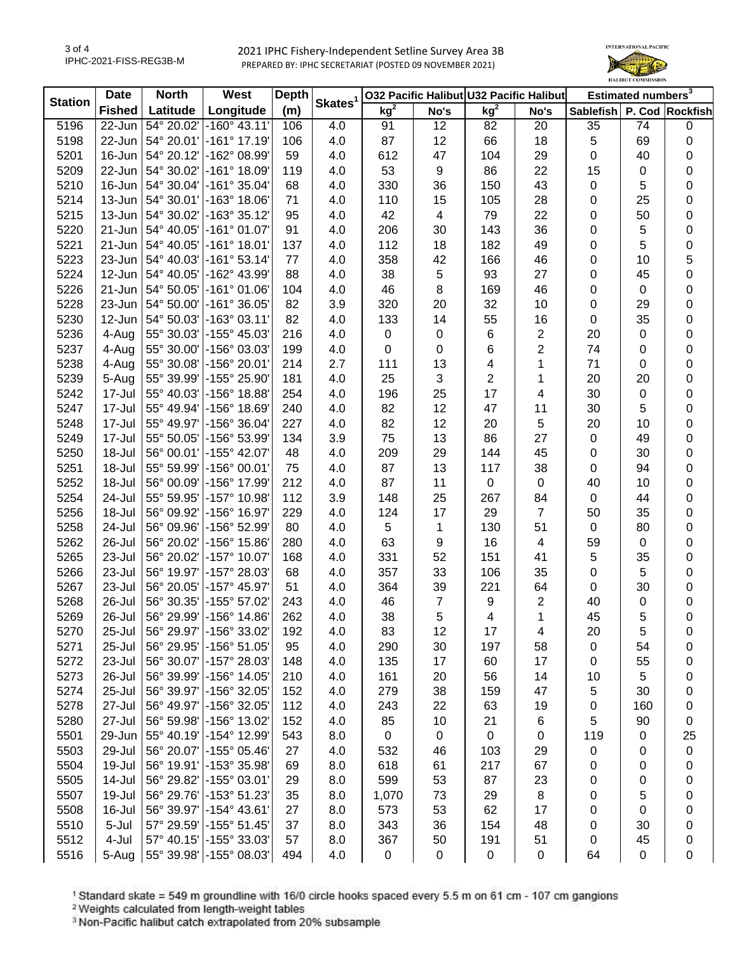2021 IPHC Fishery-Independent Setline Survey Area 3B PREPARED BY: IPHC SECRETARIAT (POSTED 09 NOVEMBER 2021)



| <b>Station</b> | <b>North</b><br><b>Date</b> |                              | West                                 | <b>Depth</b> | Skates <sup>1</sup> | 032 Pacific Halibut U32 Pacific Halibut |                |                 |                          | Estimated numbers <sup>3</sup> |                  |           |
|----------------|-----------------------------|------------------------------|--------------------------------------|--------------|---------------------|-----------------------------------------|----------------|-----------------|--------------------------|--------------------------------|------------------|-----------|
|                | <b>Fished</b>               | Latitude                     | Longitude                            | (m)          |                     | kg <sup>2</sup>                         | No's           | kg <sup>2</sup> | No's                     | Sablefish P. Cod Rockfish      |                  |           |
| 5196           | 22-Jun                      | 54° 20.02'                   | $-160^{\circ}$ 43.11                 | 106          | 4.0                 | 91                                      | 12             | 82              | 20                       | 35                             | 74               | 0         |
| 5198           | 22-Jun                      | 54° 20.01'                   | -161° 17.19'                         | 106          | 4.0                 | 87                                      | 12             | 66              | 18                       | 5                              | 69               | 0         |
| 5201           | 16-Jun                      | 54° 20.12'                   | -162° 08.99'                         | 59           | 4.0                 | 612                                     | 47             | 104             | 29                       | 0                              | 40               | 0         |
| 5209           | 22-Jun                      | 54° 30.02'                   | $-161°$ 18.09'                       | 119          | 4.0                 | 53                                      | 9              | 86              | 22                       | 15                             | 0                | 0         |
| 5210           | 16-Jun                      | 54° 30.04'                   | $-161°35.04'$                        | 68           | 4.0                 | 330                                     | 36             | 150             | 43                       | $\pmb{0}$                      | 5                | 0         |
| 5214           | 13-Jun                      | $ 54^{\circ} 30.01^{\circ} $ | $-163°$ 18.06'                       | 71           | 4.0                 | 110                                     | 15             | 105             | 28                       | 0                              | 25               | 0         |
| 5215           | 13-Jun                      | 54° 30.02'                   | -163° 35.12'                         | 95           | 4.0                 | 42                                      | 4              | 79              | 22                       | 0                              | 50               | 0         |
| 5220           | 21-Jun                      | $ 54^{\circ} 40.05^{\circ} $ | $-161°01.07'$                        | 91           | 4.0                 | 206                                     | 30             | 143             | 36                       | 0                              | 5                | 0         |
| 5221           | 21-Jun                      | $ 54^{\circ} 40.05^{\circ} $ | $-161°$ 18.01                        | 137          | 4.0                 | 112                                     | 18             | 182             | 49                       | 0                              | 5                | 0         |
| 5223           | 23-Jun                      | $ 54^{\circ} 40.03^{\circ} $ | $-161°53.14$                         | 77           | 4.0                 | 358                                     | 42             | 166             | 46                       | $\mathbf 0$                    | 10               | 5         |
| 5224           | 12-Jun                      | 54° 40.05'                   | -162° 43.99'                         | 88           | 4.0                 | 38                                      | 5              | 93              | 27                       | $\pmb{0}$                      | 45               | $\pmb{0}$ |
| 5226           | 21-Jun                      | 54° 50.05'                   | $-161°01.06'$                        | 104          | 4.0                 | 46                                      | 8              | 169             | 46                       | $\pmb{0}$                      | $\mathbf 0$      | 0         |
| 5228           | 23-Jun                      | 54° 50.00'                   | $-161°36.05'$                        | 82           | 3.9                 | 320                                     | 20             | 32              | 10                       | $\pmb{0}$                      | 29               | 0         |
| 5230           | 12-Jun                      | 54° 50.03'                   | $-163°03.11'$                        | 82           | 4.0                 | 133                                     | 14             | 55              | 16                       | $\pmb{0}$                      | 35               | 0         |
| 5236           | 4-Aug                       | 55° 30.03'                   | $-155^{\circ}$ 45.03                 | 216          | 4.0                 | $\pmb{0}$                               | 0              | 6               | 2                        | 20                             | 0                | 0         |
| 5237           | 4-Aug                       | 55° 30.00'                   | -156° 03.03                          | 199          | 4.0                 | 0                                       | 0              | 6               | $\overline{\mathbf{c}}$  | 74                             | 0                | 0         |
| 5238           | 4-Aug                       | 55° 30.08'                   | $-156^{\circ}$ 20.01                 | 214          | 2.7                 | 111                                     | 13             | 4               | 1                        | 71                             | 0                | 0         |
| 5239           | 5-Aug                       | 55° 39.99'                   | -155° 25.90'                         | 181          | 4.0                 | 25                                      | 3              | $\overline{2}$  | 1                        | 20                             | 20               | 0         |
| 5242           | 17-Jul                      | 55° 40.03'                   | -156° 18.88'                         | 254          | 4.0                 | 196                                     | 25             | 17              | 4                        | 30                             | 0                | 0         |
| 5247           | 17-Jul                      | 55° 49.94'                   | -156° 18.69'                         | 240          | 4.0                 | 82                                      | 12             | 47              | 11                       | 30                             | 5                | 0         |
| 5248           | 17-Jul                      | 55° 49.97'                   | -156° 36.04'                         | 227          | 4.0                 | 82                                      | 12             | 20              | 5                        | 20                             | 10               | 0         |
| 5249           | 17-Jul                      | 55° 50.05'                   | -156° 53.99'                         | 134          | 3.9                 | 75                                      | 13             | 86              | 27                       | $\pmb{0}$                      | 49               | 0         |
| 5250           | 18-Jul                      | 56° 00.01'                   | -155° 42.07'                         | 48           | 4.0                 | 209                                     | 29             | 144             | 45                       | 0                              | 30               | 0         |
| 5251           | 18-Jul                      | 55° 59.99'                   | $-156^{\circ}$ 00.01                 | 75           | 4.0                 | 87                                      | 13             | 117             | 38                       | $\pmb{0}$                      | 94               | 0         |
| 5252           | 18-Jul                      | 56° 00.09'                   | -156° 17.99'                         | 212          | 4.0                 | 87                                      | 11             | $\pmb{0}$       | $\mathbf 0$              | 40                             | 10               | 0         |
| 5254           | 24-Jul                      | 55° 59.95'                   | -157° 10.98'                         | 112          | 3.9                 | 148                                     | 25             | 267             | 84                       | $\mathbf 0$                    | 44               | 0         |
| 5256           | 18-Jul                      | 56° 09.92'                   | -156° 16.97'                         | 229          | 4.0                 | 124                                     | 17             | 29              | $\overline{7}$           | 50                             | 35               | 0         |
| 5258           | 24-Jul                      | 56° 09.96'                   | -156° 52.99'                         | 80           | 4.0                 | 5                                       | 1              | 130             | 51                       | $\mathsf 0$                    | 80               | 0         |
| 5262           | 26-Jul                      | 56° 20.02'                   | -156° 15.86'                         | 280          | 4.0                 | 63                                      | 9              | 16              | $\overline{\mathcal{A}}$ | 59                             | $\mathbf 0$      | 0         |
| 5265           | 23-Jul                      | 56° 20.02'                   | $-157^{\circ}$ 10.07                 | 168          | 4.0                 | 331                                     | 52             | 151             | 41                       | $\overline{5}$                 | 35               | 0         |
| 5266           | 23-Jul                      | 56° 19.97'                   | -157° 28.03'                         | 68           | 4.0                 | 357                                     | 33             | 106             | 35                       | $\pmb{0}$                      | 5                | 0         |
| 5267           | 23-Jul                      | 56° 20.05'                   | -157° 45.97'                         | 51           | 4.0                 | 364                                     | 39             | 221             | 64                       | $\pmb{0}$                      | 30               | 0         |
| 5268           | 26-Jul                      | 56° 30.35'                   | -155° 57.02'                         | 243          | 4.0                 | 46                                      | $\overline{7}$ | 9               | 2                        | 40                             | 0                | 0         |
| 5269           | 26-Jul                      | 56° 29.99'                   | -156° 14.86'                         | 262          | 4.0                 | 38                                      | 5              | $\overline{4}$  | 1                        | 45                             | 5                | 0         |
| 5270           | 25-Jul                      |                              | 56° 29.97'   -156° 33.02'            | 192          | 4.0                 | 83                                      | 12             | 17              | 4                        | 20                             | 5                | 0         |
| 5271           | 25-Jul                      | 56° 29.95'                   | $-156^{\circ} 51.05'$                | 95           | 4.0                 | 290                                     | 30             | 197             | 58                       | $\pmb{0}$                      | 54               | 0         |
| 5272           | 23-Jul                      | 56° 30.07'                   | -157° 28.03'                         | 148          | 4.0                 | 135                                     | 17             | 60              | 17                       | 0                              | 55               | 0         |
| 5273           | 26-Jul                      | 56° 39.99'                   | $-156^{\circ}$ 14.05'                | 210          | 4.0                 | 161                                     | 20             | 56              | 14                       | 10                             | 5                | 0         |
| 5274           | 25-Jul                      | 56° 39.97'                   | -156° 32.05'                         | 152          | 4.0                 | 279                                     | 38             | 159             | 47                       | 5                              | 30               | 0         |
| 5278           | 27-Jul                      | 56° 49.97'                   | -156° 32.05'                         | 112          | 4.0                 | 243                                     | 22             | 63              | 19                       | 0                              | 160              | 0         |
| 5280           | 27-Jul                      | 56° 59.98'                   | -156° 13.02'                         | 152          | 4.0                 | 85                                      | 10             | 21              | 6                        | 5                              | 90               | 0         |
| 5501           | 29-Jun                      | 55° 40.19'                   | -154° 12.99'                         | 543          | 8.0                 | $\pmb{0}$                               | 0              | 0               | 0                        | 119                            | $\boldsymbol{0}$ | 25        |
| 5503           | 29-Jul                      | 56° 20.07'                   | $-155^{\circ}$ 05.46'                | 27           | 4.0                 |                                         |                |                 | 29                       |                                |                  |           |
|                | 19-Jul                      | 56° 19.91'                   | -153° 35.98'                         |              |                     | 532                                     | 46             | 103             |                          | $\pmb{0}$                      | 0                | 0         |
| 5504           |                             |                              |                                      | 69           | 8.0                 | 618                                     | 61             | 217             | 67                       | 0                              | 0                | 0         |
| 5505           | 14-Jul                      | 56° 29.82'                   | -155° 03.01'                         | 29           | 8.0                 | 599                                     | 53             | 87              | 23                       | 0                              | 0                | 0         |
| 5507           | 19-Jul                      | 56° 29.76'                   | -153° 51.23'<br>$-154^{\circ}$ 43.61 | 35           | 8.0                 | 1,070                                   | 73             | 29              | 8                        | 0                              | 5                | 0         |
| 5508           | 16-Jul                      | 56° 39.97'                   |                                      | 27           | 8.0                 | 573                                     | 53             | 62              | 17                       | 0                              | $\boldsymbol{0}$ | 0         |
| 5510           | 5-Jul                       | 57° 29.59'                   | $-155^{\circ} 51.45'$                | 37           | 8.0                 | 343                                     | 36             | 154             | 48                       | 0                              | 30               | 0         |
| 5512           | 4-Jul                       | 57° 40.15'                   | -155° 33.03'                         | 57           | 8.0                 | 367                                     | 50             | 191             | 51                       | 0                              | 45               | 0         |
| 5516           | 5-Aug                       |                              | 55° 39.98' - 155° 08.03'             | 494          | 4.0                 | $\pmb{0}$                               | 0              | $\pmb{0}$       | $\pmb{0}$                | 64                             | $\boldsymbol{0}$ | 0         |

<sup>1</sup> Standard skate = 549 m groundline with 16/0 circle hooks spaced every 5.5 m on 61 cm - 107 cm gangions <sup>2</sup> Weights calculated from length-weight tables

<sup>3</sup> Non-Pacific halibut catch extrapolated from 20% subsample